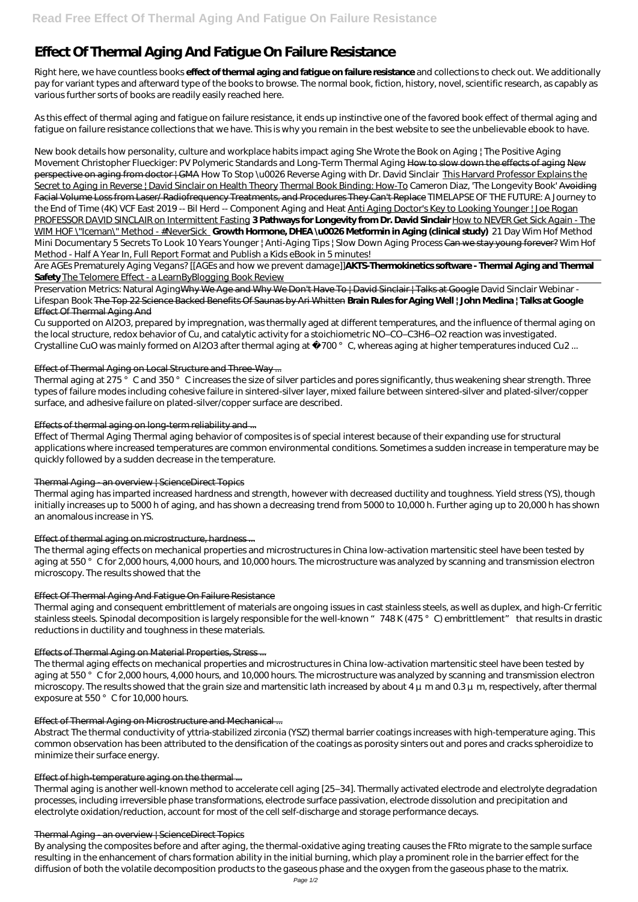# **Effect Of Thermal Aging And Fatigue On Failure Resistance**

Right here, we have countless books **effect of thermal aging and fatigue on failure resistance** and collections to check out. We additionally pay for variant types and afterward type of the books to browse. The normal book, fiction, history, novel, scientific research, as capably as various further sorts of books are readily easily reached here.

As this effect of thermal aging and fatigue on failure resistance, it ends up instinctive one of the favored book effect of thermal aging and fatigue on failure resistance collections that we have. This is why you remain in the best website to see the unbelievable ebook to have.

## Cu supported on Al2O3, prepared by impregnation, was thermally aged at different temperatures, and the influence of thermal aging on the local structure, redox behavior of Cu, and catalytic activity for a stoichiometric NO–CO–C3H6–O2 reaction was investigated. Crystalline CuO was mainly formed on Al2O3 after thermal aging at 700°C, whereas aging at higher temperatures induced Cu2 ...

New book details how personality, culture and workplace habits impact aging She Wrote the Book on Aging | The Positive Aging Movement Christopher Flueckiger: PV Polymeric Standards and Long-Term Thermal Aging How to slow down the effects of aging New perspective on aging from doctor | GMA How To Stop \u0026 Reverse Aging with Dr. David Sinclair This Harvard Professor Explains the Secret to Aging in Reverse | David Sinclair on Health Theory Thermal Book Binding: How-To *Cameron Diaz, 'The Longevity Book'* Avoiding Facial Volume Loss from Laser/ Radiofrequency Treatments, and Procedures They Can't Replace *TIMELAPSE OF THE FUTURE: A Journey to the End of Time (4K)* VCF East 2019 -- Bil Herd -- Component Aging and Heat Anti Aging Doctor's Key to Looking Younger | Joe Rogan PROFESSOR DAVID SINCLAIR on Intermittent Fasting **3 Pathways for Longevity from Dr. David Sinclair** How to NEVER Get Sick Again - The WIM HOF \"Iceman\" Method - #NeverSick **Growth Hormone, DHEA \u0026 Metformin in Aging (clinical study)** 21 Day Wim Hof Method Mini Documentary *5 Secrets To Look 10 Years Younger | Anti-Aging Tips | Slow Down Aging Process* Can we stay young forever? *Wim Hof Method - Half A Year In, Full Report Format and Publish a Kids eBook in 5 minutes!*

Thermal aging at 275°C and 350°C increases the size of silver particles and pores significantly, thus weakening shear strength. Three types of failure modes including cohesive failure in sintered-silver layer, mixed failure between sintered-silver and plated-silver/copper surface, and adhesive failure on plated-silver/copper surface are described.

Are AGEs Prematurely Aging Vegans? [[AGEs and how we prevent damage]]**AKTS-Thermokinetics software - Thermal Aging and Thermal Safety** The Telomere Effect - a LearnByBlogging Book Review

Preservation Metrics: Natural AgingWhy We Age and Why We Don't Have To | David Sinclair | Talks at Google *David Sinclair Webinar - Lifespan Book* The Top 22 Science Backed Benefits Of Saunas by Ari Whitten **Brain Rules for Aging Well | John Medina | Talks at Google** Effect Of Thermal Aging And

The thermal aging effects on mechanical properties and microstructures in China low-activation martensitic steel have been tested by aging at 550° C for 2,000 hours, 4,000 hours, and 10,000 hours. The microstructure was analyzed by scanning and transmission electron

microscopy. The results showed that the grain size and martensitic lath increased by about  $4\mu$  m and  $0.3\mu$  m, respectively, after thermal exposure at 550° C for 10,000 hours.

### Effect of Thermal Aging on Local Structure and Three-Way ...

# Effects of thermal aging on long-term reliability and ...

Effect of Thermal Aging Thermal aging behavior of composites is of special interest because of their expanding use for structural applications where increased temperatures are common environmental conditions. Sometimes a sudden increase in temperature may be quickly followed by a sudden decrease in the temperature.

### Thermal Aging - an overview | ScienceDirect Topics

Thermal aging has imparted increased hardness and strength, however with decreased ductility and toughness. Yield stress (YS), though initially increases up to 5000 h of aging, and has shown a decreasing trend from 5000 to 10,000 h. Further aging up to 20,000 h has shown an anomalous increase in YS.

### Effect of thermal aging on microstructure, hardness ...

The thermal aging effects on mechanical properties and microstructures in China low-activation martensitic steel have been tested by aging at 550° C for 2,000 hours, 4,000 hours, and 10,000 hours. The microstructure was analyzed by scanning and transmission electron microscopy. The results showed that the

### Effect Of Thermal Aging And Fatigue On Failure Resistance

Thermal aging and consequent embrittlement of materials are ongoing issues in cast stainless steels, as well as duplex, and high-Cr ferritic stainless steels. Spinodal decomposition is largely responsible for the well-known "748 K (475°C) embrittlement" that results in drastic reductions in ductility and toughness in these materials.

# Effects of Thermal Aging on Material Properties, Stress ...

#### Effect of Thermal Aging on Microstructure and Mechanical ...

Abstract The thermal conductivity of yttria-stabilized zirconia (YSZ) thermal barrier coatings increases with high-temperature aging. This common observation has been attributed to the densification of the coatings as porosity sinters out and pores and cracks spheroidize to minimize their surface energy.

#### Effect of high-temperature aging on the thermal ...

Thermal aging is another well-known method to accelerate cell aging [25–34]. Thermally activated electrode and electrolyte degradation processes, including irreversible phase transformations, electrode surface passivation, electrode dissolution and precipitation and electrolyte oxidation/reduction, account for most of the cell self-discharge and storage performance decays.

#### Thermal Aging - an overview | ScienceDirect Topics

By analysing the composites before and after aging, the thermal-oxidative aging treating causes the FRto migrate to the sample surface resulting in the enhancement of chars formation ability in the initial burning, which play a prominent role in the barrier effect for the diffusion of both the volatile decomposition products to the gaseous phase and the oxygen from the gaseous phase to the matrix.